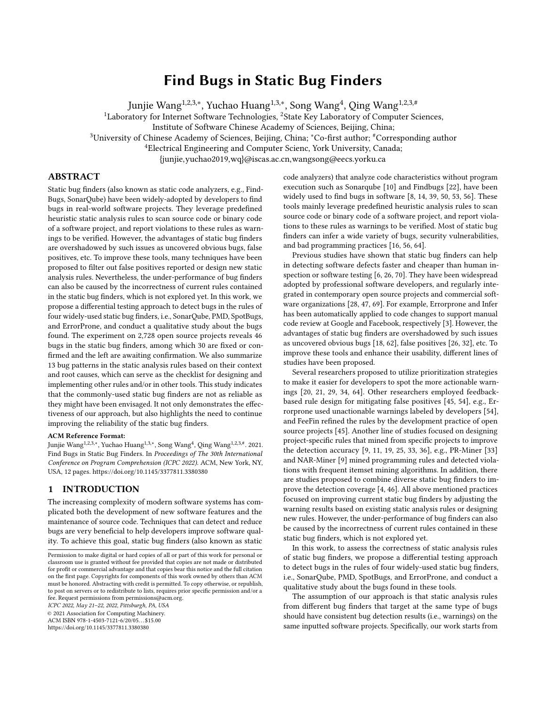# Find Bugs in Static Bug Finders

Junjie Wang<sup>1,2,3,∗</sup>, Yuchao Huang<sup>1,3,∗</sup>, Song Wang<sup>4</sup>, Qing Wang<sup>1,2,3,#</sup>

<sup>1</sup>Laboratory for Internet Software Technologies, <sup>2</sup>State Key Laboratory of Computer Sciences,

Institute of Software Chinese Academy of Sciences, Beijing, China;

<sup>3</sup>University of Chinese Academy of Sciences, Beijing, China; <sup>∗</sup>Co-first author; #Corresponding author

<sup>4</sup>Electrical Engineering and Computer Scienc, York University, Canada;

{junjie,yuchao2019,wq}@iscas.ac.cn,wangsong@eecs.yorku.ca

# ABSTRACT

Static bug finders (also known as static code analyzers, e.g., Find-Bugs, SonarQube) have been widely-adopted by developers to find bugs in real-world software projects. They leverage predefined heuristic static analysis rules to scan source code or binary code of a software project, and report violations to these rules as warnings to be verified. However, the advantages of static bug finders are overshadowed by such issues as uncovered obvious bugs, false positives, etc. To improve these tools, many techniques have been proposed to filter out false positives reported or design new static analysis rules. Nevertheless, the under-performance of bug finders can also be caused by the incorrectness of current rules contained in the static bug finders, which is not explored yet. In this work, we propose a differential testing approach to detect bugs in the rules of four widely-used static bug finders, i.e., SonarQube, PMD, SpotBugs, and ErrorProne, and conduct a qualitative study about the bugs found. The experiment on 2,728 open source projects reveals 46 bugs in the static bug finders, among which 30 are fixed or confirmed and the left are awaiting confirmation. We also summarize 13 bug patterns in the static analysis rules based on their context and root causes, which can serve as the checklist for designing and implementing other rules and/or in other tools. This study indicates that the commonly-used static bug finders are not as reliable as they might have been envisaged. It not only demonstrates the effectiveness of our approach, but also highlights the need to continue improving the reliability of the static bug finders.

#### ACM Reference Format:

Junjie Wang<sup>1,2,3,∗</sup>, Yuchao Huang<sup>1,3,∗</sup>, Song Wang<sup>4</sup>, Qing Wang<sup>1,2,3,#</sup>. 2021. Find Bugs in Static Bug Finders. In Proceedings of The 30th International Conference on Program Comprehension (ICPC 2022). ACM, New York, NY, USA, [12](#page-11-0) pages.<https://doi.org/10.1145/3377811.3380380>

# 1 INTRODUCTION

The increasing complexity of modern software systems has complicated both the development of new software features and the maintenance of source code. Techniques that can detect and reduce bugs are very beneficial to help developers improve software quality. To achieve this goal, static bug finders (also known as static

ICPC 2022, May 21–22, 2022, Pittsburgh, PA, USA

© 2021 Association for Computing Machinery.

ACM ISBN 978-1-4503-7121-6/20/05. . . \$15.00

<https://doi.org/10.1145/3377811.3380380>

code analyzers) that analyze code characteristics without program execution such as Sonarqube [\[10\]](#page-10-0) and Findbugs [\[22\]](#page-10-1), have been widely used to find bugs in software [\[8,](#page-10-2) [14,](#page-10-3) [39,](#page-10-4) [50,](#page-11-1) [53,](#page-11-2) [56\]](#page-11-3). These tools mainly leverage predefined heuristic analysis rules to scan source code or binary code of a software project, and report violations to these rules as warnings to be verified. Most of static bug finders can infer a wide variety of bugs, security vulnerabilities, and bad programming practices [\[16,](#page-10-5) [56,](#page-11-3) [64\]](#page-11-4).

Previous studies have shown that static bug finders can help in detecting software defects faster and cheaper than human inspection or software testing [\[6,](#page-10-6) [26,](#page-10-7) [70\]](#page-11-5). They have been widespread adopted by professional software developers, and regularly integrated in contemporary open source projects and commercial software organizations [\[28,](#page-10-8) [47,](#page-11-6) [69\]](#page-11-7). For example, Errorprone and Infer has been automatically applied to code changes to support manual code review at Google and Facebook, respectively [\[3\]](#page-10-9). However, the advantages of static bug finders are overshadowed by such issues as uncovered obvious bugs [\[18,](#page-10-10) [62\]](#page-11-8), false positives [\[26,](#page-10-7) [32\]](#page-10-11), etc. To improve these tools and enhance their usability, different lines of studies have been proposed.

Several researchers proposed to utilize prioritization strategies to make it easier for developers to spot the more actionable warnings [\[20,](#page-10-12) [21,](#page-10-13) [29,](#page-10-14) [34,](#page-10-15) [64\]](#page-11-4). Other researchers employed feedbackbased rule design for mitigating false positives [\[45,](#page-10-16) [54\]](#page-11-9), e.g., Errorprone used unactionable warnings labeled by developers [\[54\]](#page-11-9), and FeeFin refined the rules by the development practice of open source projects [\[45\]](#page-10-16). Another line of studies focused on designing project-specific rules that mined from specific projects to improve the detection accuracy [\[9,](#page-10-17) [11,](#page-10-18) [19,](#page-10-19) [25,](#page-10-20) [33,](#page-10-21) [36\]](#page-10-22), e.g., PR-Miner [\[33\]](#page-10-21) and NAR-Miner [\[9\]](#page-10-17) mined programming rules and detected violations with frequent itemset mining algorithms. In addition, there are studies proposed to combine diverse static bug finders to improve the detection coverage [\[4,](#page-10-23) [46\]](#page-11-10). All above mentioned practices focused on improving current static bug finders by adjusting the warning results based on existing static analysis rules or designing new rules. However, the under-performance of bug finders can also be caused by the incorrectness of current rules contained in these static bug finders, which is not explored yet.

In this work, to assess the correctness of static analysis rules of static bug finders, we propose a differential testing approach to detect bugs in the rules of four widely-used static bug finders, i.e., SonarQube, PMD, SpotBugs, and ErrorProne, and conduct a qualitative study about the bugs found in these tools.

The assumption of our approach is that static analysis rules from different bug finders that target at the same type of bugs should have consistent bug detection results (i.e., warnings) on the same inputted software projects. Specifically, our work starts from

Permission to make digital or hard copies of all or part of this work for personal or classroom use is granted without fee provided that copies are not made or distributed for profit or commercial advantage and that copies bear this notice and the full citation on the first page. Copyrights for components of this work owned by others than ACM must be honored. Abstracting with credit is permitted. To copy otherwise, or republish, to post on servers or to redistribute to lists, requires prior specific permission and/or a fee. Request permissions from permissions@acm.org.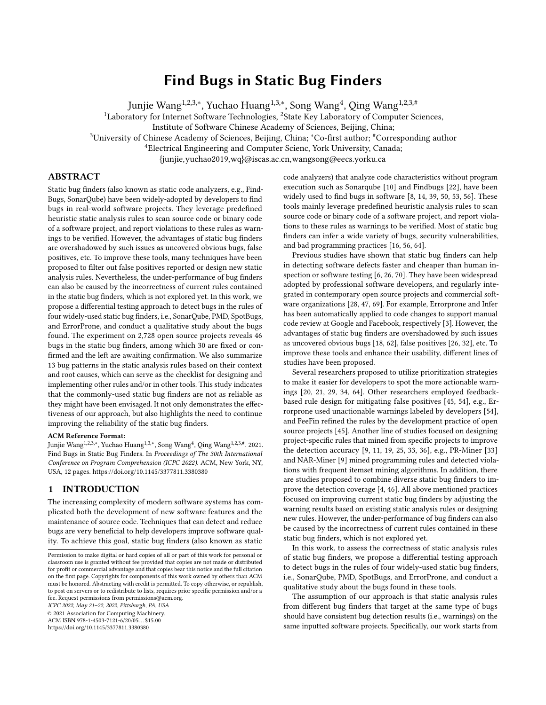retrieving paired rules that target at the same type of bugs among different static bug finders. We then run the static bug finders on a large set of experimental projects and check whether there are inconsistencies between the reported warnings of these paired rules. To retrieve paired rules across static bug finders for differential testing, we design a heuristic-based rule mapping method. which combines the similarity in rules' description and the overlap in warning information reported by the tools.

To evaluate our approach, for the four examined bug finders, we treat SonarQube and PMD as a pair (which scan source code of software projects to detect bugs), while SpotBugs and ErrorProne as a another pair (which scan binary code of software projects to detect bugs). Our heuristic-based rule mapping method retrieves 74 pairs of rules for SonarQube and PMD, while 30 pairs of rules are retrieved for SpotBugs and ErrorProne. We use 2,728 open source projects from an existing publicly available dataset as the experimental subjects for detecting the inconsistencies in the warnings. Results show that 7,633 inconsistencies between the paired rules from different static bug finders have been revealed.

We then apply descriptive coding, a qualitative analysis method, on the detected inconsistencies to identify the buggy rules in the static bug finders and categorize these bugs to derive bug patterns. 46 bugs in the static analysis rules across the four static bug finders are found, among which 8 are bugs in the implementations of rules that cause them to generate false positives, 38 are bugs that cause them to miss detect true bugs (i.e., false negatives). We further summarize 13 bug patterns in the static analysis rules based on the bugs' context and root causes. For example, bug pattern fail in multiple calling operations denotes the static analysis rules would fail to warn the suspicious code when involving the multiple calling operations as json.exception().printStackTrace() (work for single calling operation as exp.printStackTrace()). These bug patterns can serve as the checklists for developers when designing and implementing other static analysis rules and/or in other static bug finders. We also localize these bugs and summarize three types of typical faults in the implementation of these static bug finders.

To evaluate the usefulness of this study, we report these found bugs to the development team, and 30 is fixed or confirmed and the left are awaiting confirmation. This study indicates that the commonly-used static bug finders are not as reliable as they might have been envisaged. It highlights the need to continue improving the reliability of the static bug finders, and suggests the feasibility of utilizing differential testing on these static bug finders.

This paper makes the following contributions:

- We conduct the first differential testing on four widely-used static bug finders, which is the first work on testing the correctness of static analysis rules in static bug finders to the best of our knowledge.
- Our study finds 46 bugs about the implementation or design of static analysis rules, among which 30 are fixed/confirmed $^1$  $^1$ .
- We propose a heuristic-based static analysis rule mapping method to retrieve paired rules that target at the same types of bugs across different static bug finders.

• We summarize 13 bug patterns in the static analysis rules based on their context and root causes, which can serve as the checklist for designing and implementing other rules.

## 2 METHODOLOGY

#### <span id="page-1-5"></span>2.1 Examined Static Bug Finders

In this study, we explore the correctness of static analysis rules for four popular open source static bug finders as listed below.

1) SonarQube is one of the most widely adopted static bug finders that leverages pre-defined static analysis rules to help find bugs in the context of continuous integration. It supports more than 20 programming languages and has been adopted by more than 85,000 organizations or software projects. SonarQube provides developers with its own analysis rules and also incorporates rules from other popular bug finders, e.g., CheckStyle, PMD, and FindBugs. In this study, we only experiment with SonarQube's own rules, i.e., 545 Java related rules in its rule repository $^2.$  $^2.$  $^2.$ 

2) PMD is a source code analyzer maintained by open community. It finds common programming flaws like unused variables, empty catch blocks, and unnecessary object creation, etc. It supports Java, JavaScript, PLSQL, Apache Velocity, XML, etc. We include all its [3](#page-1-2)04 Java related rules for experiment<sup>3</sup>.

3) SpotBugs is the spiritual successor of the pioneering FindBugs tool [\[23\]](#page-10-24), carrying on from the point where it left off with support of its community. It is a bug finder which uses static analysis to look for bugs in Java code. It was originally developed by the University of Maryland, and has been downloaded more than a million times. We use all the [4](#page-1-3)49 Java related rules for experiment<sup>4</sup>.

4) ErrorProne is a static bug finder for Java that catches common programming mistakes at compile-time. It is developed by Google and is integrated into their static analysis ecosystem [\[53\]](#page-11-2). We experiment with all its 333 Java related rules<sup>[5](#page-1-4)</sup>.

The first two static bug finders work on the source code of software projects, while the last two tools require the compiled binary code of software projects. Since this difference might lead to the variations in the marked line of the suspicious code, we group the first two tools (i.e., SonarQube and PMD) as a pair and the last two tools (SpotBugs and ErrorProne) as the second pair to conduct the differential testing. Note that, this study focuses on the static bug detection of Java projects with Java related static analysis rules, which is one of the most commonly-used programming languages.

### <span id="page-1-6"></span>2.2 Experimental Projects

In order to fully explore the static analysis rules, we need a large set of projects whose source code is available and compilable (for collecting binary code). We also expect these projects having flaws to cover as many static analysis rules as possible, so that the static bug finders can be triggered and the inconsistencies in their warning results can be potentially revealed.

To satisfy all above requirements, we choose to use the 50K-C projects repository [\[40\]](#page-10-25), which contains 50,000 Java projects

<span id="page-1-0"></span><sup>1</sup>Details are listed in [https://github.com/wuchiuwong/Diff-Testing-01.](https://github.com/wuchiuwong/Diff-Testing-01)

<span id="page-1-1"></span><sup>2</sup><https://rules.sonarsource.com/java>

<span id="page-1-2"></span><sup>3</sup>[https://pmd.github.io/latest/pmd\\_rules\\_java.html](https://pmd.github.io/latest/pmd_rules_java.html)

<span id="page-1-3"></span> $^4$ <https://spotbugs.readthedocs.io/en/latest/bugDescriptions.html>

<span id="page-1-4"></span><sup>5</sup><https://errorprone.info/bugpatterns>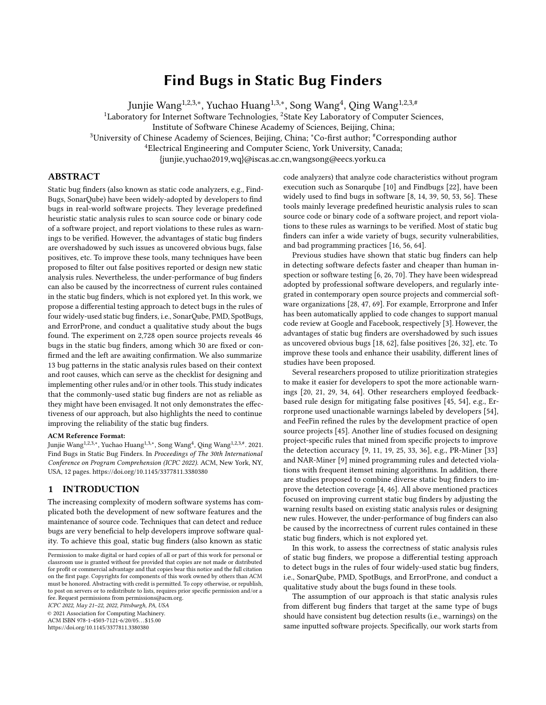<span id="page-2-0"></span>

Figure 1: Details of experimental projects

crawled from GitHub. Each project is attached with the dependencies required to compile it, and the scripts with which the projects can be compiled. All of them are active open source projects, so that there should be dozens of flaws which can trigger the static analysis rules.

We randomly download 3,000 projects from the repository, then employ their provided building framework SourcererJBF to compile the source code[\[40\]](#page-10-25). 272 projects could not be successfully compiled because of such errors as incompatible character set. We use the remaining 2,728 projects with 1565 KLOC (Kilometer Lines Of Code) in total, for the following experiment. Figure [1](#page-2-0) presents the details of these projects with number of files in each project, average lines of source code per file in each project, and number of dependent jars for compiling the project. These projects are from various domains, e.g., player, compiler, database, map, game, etc<sup>[6](#page-2-1)</sup>. Note that, the maximum value of the first two series of data are respectively 1877 and 3370, and we cut off the figures to facilitate visualization. There are an average of 32 files in an experimental project, and each file has an average of 115 lines of source code.

## 2.3 Differential Testing of Static Analysis Rules

The primary idea of this study is to detect bugs in static bug finders through differential testing, i.e., by providing the same input to different implementations of the same functionality and observing the inconsistencies between the implementations. To achieve this goal, we treat each rule implemented in the static bug finder as a functionality of the bug finder, and treat the paired rules from different bug finders which target at detecting the same types of bugs as different implementations of the same functionality.

As demonstrated in Figure [2,](#page-3-0) this study first retrieves the paired rules between two static bug finders (Section [2.3.1\)](#page-2-2), i.e., two rules target at the same types of bugs, then detects the inconsistencies between the bug finders when respectively running the paired rules with the same inputted software projects (Section [2.3.2\)](#page-4-0). Based on the inconsistencies, it identifies the buggy rules in the static bug finders and categorizes them (Section [2.3.3\)](#page-4-1), meanwhile it also localizes the found bugs in the static bug finders (Section [2.3.4\)](#page-4-2).

<span id="page-2-2"></span>2.3.1 Retrieving Paired Rules. As showed in Section [2.1,](#page-1-5) each examined static bug finder has hundreds of rules, and there would be

tens of thousands candidate pairs, e.g., 165,680 (545  $\times$  304) pairs for matching each rule of Snoarqube to each rule of PMD. Manually mapping such large number of rules from different bug finders could be time- and effort-consuming. Besides, rules from different tools are described differently, e.g., rule throwable.printStackTrace should not be called in Sonarqube is described with 80 words with two code examples, while its paired rule AvoidPrintStackTrace in PMD has only 7 terms with one code example, which further increases the difficulty of rule mapping.

To cope with the above circumstance, we propose a heuristicbased rule mapping method which combines the similarity in rules' description and the overlap in warning information reported by the tools. In detail, we first choose the potential rule pairs with the similarity of rules based on their textual descriptions and accompanied code examples. For each candidate rule pair, we then check the detailed warning information reported by the rules and filter out the less possible rule pairs, in which two rules with larger degree of overlap have higher possibility to be a pair. This is conducted with four mapping-rules which will be described below.

#### 1) Choosing Potential Rule Pairs Based on Description Similarity

Generally speaking, each static analysis rule in these static bug finders is described with three fields: title, detailed description, and code examples, in which title and description demonstrate what types of bugs the rule targets at and how the analysis works, while code examples present the positive and negative examples to show when the rule is triggered. We concatenate the title and detailed description fields, and treat it as the textual content of the rule. To model the similarity between the descriptions of two rules from different aspects, we use three types of similarity metrics, i.e., term similarity to measure the text similarity of the rule's textual content, semantic similarity to measure the semantic similarity of the rule's textual content, and code similarity to measure the similarity of code examples. Details are as follows.

Term similarity ( $Term_{sim}$ ). The term similarity is measured with the Term Frequency and Inverse Document Frequency (TF-IDF). It is one of the most popular features for representing textual documents in information retrieval. The main idea of TF-IDF is that if a term appears many times in one rule and a few times in the other rules, the term has a good capability to differentiate the rules, and thus the term has high TF-IDF value. Specifically, given a term t and a rule r,  $TF(t, r)$  is the number of times that term t occurs in rule  $r$ , while  $IDF(t)$  is obtained by dividing the total number of rules by the number of rules containing term  $t$ . TF-IDF is computed as:  $TF - IDF(t, r) = TF(t, r) \times IDF(t)$ .

With the above formula, the textual content of a rule  $r$  can be represented as a TF-IDF vector, i.e.,  $r = (w_1, w_2, ..., w_n)$ , where  $w_i$  denotes the TF-IDF value of the  $i^{th}$  term in rule r. Then term similarity is calculated as the cosine similarity between the vectors of two rules.

Semantic similarity (Semt<sub>sim</sub>). The above mentioned TF-IDF similarity focuses on the similarity of rules considering the term matching. We also employ word embedding feature, which concerns more on the relationship of terms considering the context they appear, to better model the semantic similarity of two rules. Word embedding is a popular feature learning technique in natural

<span id="page-2-1"></span><sup>&</sup>lt;sup>6</sup>Details of the domain distribution are in our website.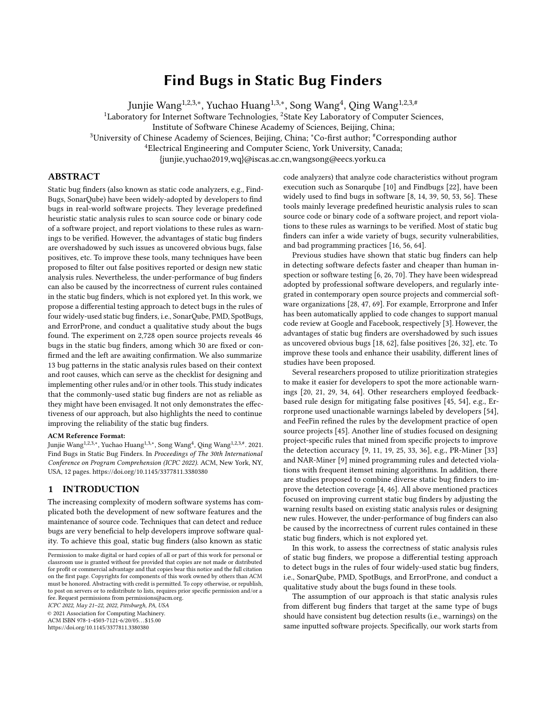<span id="page-3-0"></span>

Figure 2: Overview of differential testing of static analysis rules

language processing where individual words are no longer treated as unique symbols, but represented as  $d$ -dimensional vector of real numbers that capture their contextual semantic meanings [\[7,](#page-10-26) [43\]](#page-10-27).

We use the publicly available software $^7$  $^7$  to obtain the word embedding of a rule. With the trained word embedding model, each word can be transformed into a  $d$ -dimensional vector where  $d$  is set to 100 as suggested in previous studies [\[63,](#page-11-11) [65,](#page-11-12) [67\]](#page-11-13). Meanwhile a rule can be transformed into a matrix in which each row represents a term in the rule. We then transform the rule matrix into a vector by averaging all the word vectors the rule contains as previous work did [\[63,](#page-11-11) [65,](#page-11-12) [67\]](#page-11-13). Specifically, given a rule matrix that has  $n$ rows in total, we denote the  $i^{th}$  row of the matrix as  $r_i$  and the transformed rule vector  $v_d$  is generated as follows:

$$
v_d = \frac{\sum_i r_i}{n} \tag{1}
$$

With the above formula, each rule can be represented as a word embedding vector, and semantic similarity is calculated as the cosine similarity between the vectors of two rules.

For training the word embedding model, we collect 100,000 java related questions and answers from StackOverflow. We then combine these text with the rule description of the four examined tools, and utilize them for model training. The reason why we use these data is that previous studies have revealed that to train an effective word embedding model, a domain-specific dataset with large size is preferred. The size of our training dataset is 101 Megabytes.

Code similarity (Code $_{sim}$ ). The code examples of each rule contain the name of class and method targeted by the rule, which are indispensable sources of information for determining whether two rules share the same functionality. We first extract the class name and method name of each rule, separate them into terms with camel-back notation following existing study [\[1\]](#page-10-28). We then compare the two set of terms of  $rule_x$  and  $rule_y$  to derive the code similarity with the following equation.

$$
Code_{sim} = \frac{terms in rule_x \cap terms in rule_y}{terms in rule_x \cup terms in rule_y}
$$
 (2)

The final description similarity between two rules is calculated as follows.

$$
Description_{sim} = (Term_{sim} + Semt_{sim}) \times \frac{Code_{sim} + 1}{2}
$$
 (3)

We simply add the term similarity and semantic similarity together because existing researches suggested both of them are important [\[63,](#page-11-11) [67\]](#page-11-13). The code similarity, which is smoothed considering it might be 0, can be seen as a filter by which if two rules share large portion of class and method names, they are more likely to be paired, otherwise they are less likely to be paired even they are similar in textual content.

Based on the description similarity, we design mapping-rule a to choose the potential static analysis rule pairs.

• (Mapping-rule a) Retrieving pairs of mutual top-N similarity. If rule<sub>b</sub> is within rule<sub>a</sub>'s top-N most similar rules and vice versa, we treat  $rule_a$  and  $rule_b$  as a candidate pair for further investigation, where  $rule_a$  and  $rule_b$  are respectively from a pair of static bug finders.

#### 2) Filtering Out Less Possible Rule Pairs Based on Warning Information

We then run each static bug finder on the experimental projects collected in Section [2.2.](#page-1-6) For each reported warning, we record the triggered static analysis rule, the warned line(s) of code, the method and file where the warning occurs.

Based on the reported warning information, we then design mapping-rules  $(b, c, d)$  to jointly filter out the less possible rule pairs from the potential rule pairs generated with mappping-rule (a). These three mapping-rules are designed considering the following two assumptions: 1) the paired rules should have large degree of overlap in their warnings; 2) considering one of the paired rules might have bugs, we allow their reported warnings can be partially overlapped.

- (Mapping-rule b) Pruning with one-to-one pair. If the percentage of overlaps of the warned lines reported by  $rule_a$ and *rule<sub>b</sub>* exceeds 80% of warned lines from each of the rules, we assume the candidate pair has extremely high possibility being the paired rules. Note that, to simplify our approach, we focus on one-to-one mapping among two sets of rules from different bug finders, thus we remove other candidate pairs related with  $rule_a$  and  $rule_b$ . Another note is that, we choose the pair with the largest overlap ratio when multiple rule pairs satisfy the threshold.
- (Mapping-rule c) Pruning with di erence in warning trigger times. If the difference of warning trigger times for  $rule_a$  and  $rule_b$  exceeds 20 times, we assume these two rules can hardly related with the same functionality and remove the candidate pair.
- (Mapping-rule d) Pruning with dierence in warning le. If the overlap of warned files by  $rule_a$  and  $rule_b$  is lower than 2%, we assume these two rules can hardly related with the same functionality and remove the candidate pair.

We find a large portion of rules from SpotBugs and ErrorProne do not have code examples and exert a lower similarity; thus for this tool pair, we set  $N$  as 5 in mapping-rule a, while set it as 3 for another tool pair (i.e., SonarQube and PMD). Other parameters in the mapping rules is determined empirically, which aims at automatically retrieving a reasonable number of candidate pairs for

<span id="page-3-1"></span><sup>7</sup>https://code.google.com/archive/p/word2vec/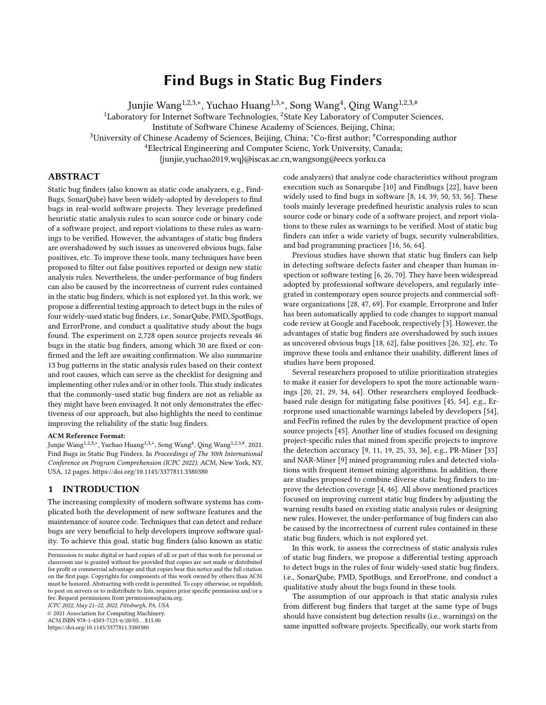manual inspection. We will mention in the threats to validity that there do exist one-to-many mappings, however for facilitating the proposed differential testing, we only focus on one-to-one mapping between rules from different tools.

#### 3) Retrieving Final Rule Pairs Manually

For all the remaining candidate paired rules after the above four mapping-rules, we conduct a manual check to finally determine the paired rules. In detail, the first three authors independently check the candidate pairs, and determine whether the two rules have the same functionality based on the rules' description and code examples. The results of their independent mapping have a Cohens kappa of 0.87, which is a substantial level of agreement [\[41\]](#page-10-29). They then discuss the disagreement online until the final consensus is reached.

<span id="page-4-0"></span>2.3.2 Detecting Inconsistencies. Based on the retrieved paired rules, we check the inconsistencies in the warnings generated by the paired rules when running the static bug finders, i.e., whether the warnings reported by paired rules mark the same place in the source code. Since different rules would highlight the warnings at different granularities, e.g., a specific line of code or the whole method, we employ different criteria for the inconsistency detection for different paired rules.

Criterion 1, when both of the paired rules warn a specific line of code, we check whether the warned file and warned line coincide with each other between the paired rules, and treat the case in which the warned lines are different as the inconsistency.

Criterion 2, when one or two of the paired rules warn(s) the whole method, e.g., rule ReturnEmptyArrayRatherThanNull of PMD marks the entire method while its paired rule (Empty arrays and collections should be returned instead of null) in SonarQube only marks the return line (as the example shown below), we check whether the warned methods coincide with each other between the paired rules, and treat the case in which the warned methods are different as the inconsistency.

```
private float [] getReactionFlyShip (Ship ship) { //warn by PMD float box[] = new float [8];
    box[0] = ship.getAngle() / (2f * 3.14159f);...
    return null; //warn by SonarQube
}
```
<span id="page-4-1"></span>2.3.3 Identifying and Categorizing Bugs. We apply a qualitative analysis method called descriptive coding [\[55\]](#page-11-14)[\[51\]](#page-11-15) on the detected inconsistencies to identify the buggy rules in the static bug finders and categorize these bugs to derive bug patterns. Figure [3](#page-5-0) demonstrates an example of how we analyze the inconsistencies and summarize bug patterns.

The detected inconsistencies are delivered to the first three authors respectively, and each of them manually checks them and identifies the bugs. Specifically, they first determine which of the paired rules is buggy, and whether the inconsistency involves a false negative bug (i.e., suspicious code is not warned) or a false positive bug (i.e., normal code is wrongly warned). We also find some inconsistencies are caused by the the imperfectness in the rule definition (see Section [3.2.2\)](#page-5-1), therefore the authors also check the description of these static analysis rules to determine whether the bug is caused by the inaccurate implementation, or mainly because

of the imperfectness in rule definition, to provide a more comprehensive view of these buggy rules. The authors then examine the context and root causes of the bug, and summarize bug patterns of these buggy rules, as shown in Table [4.](#page-6-0) The disagreement of the above analysis is discussed until common consensus is reached.

The categorization of the bug patterns might subject to the author's personal judgement. We mitigate this limitation by recruiting two independent workers who are not authors of the paper. These two workers, with more than five years background in software development, independently evaluate if the derived bug pattern is meaningful and correct. We provide them with the bug pattern name, the involved buggy rule, random-chosen one consistent warning and two inconsistent warnings for each buggy rule. The two workers independently determined if each of the buggy rule belongs to the bug pattern, and whether the bug pattern is meaningful. Both workers agree with the categorization and most of the bug patterns. The only disagreement is the name of P6. Fail in unnecessary brackets whose original name is Fail in AST change by unnecessary brackets. This high degree of agreement implies the quality of the derived bug patterns.

<span id="page-4-2"></span>2.3.4 Localizing Bugs. For the detected buggy static analysis rules, we further examine the source code of the static bug finders to localize the bugs. For PMD, some rules are implemented with XPath technique [\[2\]](#page-10-30), while the others are implemented in JAVA, both of which are navigated in the XML configuration files. We use the class names to localize the rules' implementation, and examine the faults in the source code of static bug finders. For other three static bug finders, we search the related JAVA file with corresponding rule name or rule id to localize the bugs.

## 3 EXPERIMENTAL RESULTS

## <span id="page-4-4"></span>3.1 Results of Rule Mapping

We first present the results of how many rules of each bug finder are triggered and the warning trigger times after running the bug finders on our experimental projects, with results in Table [1.](#page-5-2) We can see that 74% to 89% rules are triggered for SonarQube, PMD and SpotBugs, while for ErrorProne, 45% of its rules are triggered. We analyze the un-triggered rules of ErrorProne and find that most of them are related to the framework or package developed by Google itself, e.g., AutoValue, Dagger, etc., which are seldom used by general software projects, thus were not triggered. On average, 73% rules are triggered and each rule is triggered a median of 163 times, which suggests the generalizability of our experiments.

Following the rule mapping method described in Section [2.3.1,](#page-2-2) we retrieve the paired rules and list the results in Table [2,](#page-6-1) in which we present the number of remaining rule pairs after applying mappingrule (a-d). 74 rule pairs from SonarQube and PMD, and 30 rule pairs from SpotBugs and ErrorProne are finally determined as having identical functionality<sup>[8](#page-4-3)</sup>. The hitting rate of our mapping method is 51.5% (74/145 in Table [2\)](#page-6-1) for paired tools SonarQube and PMD, 45.4% (30/66 in Table [2\)](#page-6-1) for paired tools SpotBugs and ErrorProne. This indicates we can find one mapped rule pairs by examining an estimate of two candidate pairs, which is quite cost-effective considering the tremendous number of total candidate pairs.

<span id="page-4-3"></span><sup>8</sup>These paired rules are listed in https://github.com/wuchiuwong/Diff-Testing-01.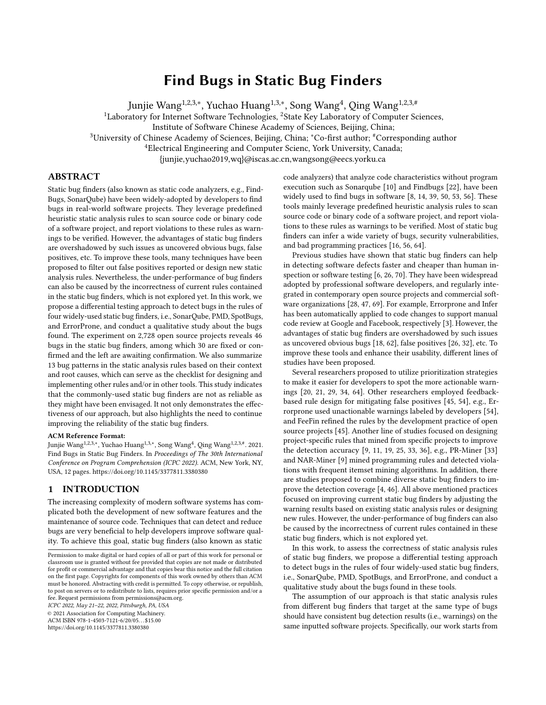ICPC 2022, May 21–22, 2022, Pisburgh, PA, USA

, Yuchao Huang<sup>1,3,∗</sup>, Song Wang<sup>4</sup>, Qing Wang<sup>1,2,3,#</sup>

<span id="page-5-0"></span>

<span id="page-5-2"></span>

| Figure 3: An example of how we analyze the inconsistencies and summarize bug patterns |  |
|---------------------------------------------------------------------------------------|--|
| Table 1: Statistics of warning information on experimental projects                   |  |

| Tool              | % triggered rules | Warning trigger times per triggered rule |           |        |           |           |
|-------------------|-------------------|------------------------------------------|-----------|--------|-----------|-----------|
|                   |                   | min                                      | 1-quarter | median | 3-quarter | max       |
| SonarOube         | 80%               |                                          | 38        | 378    | 2.320     | 1,036,425 |
| <b>PMD</b>        | 89%               |                                          | 183       | 1.091  | 6.967     | 812.325   |
| <b>SpotBugs</b>   | 74%               |                                          |           | 45     | 216       | 9.049     |
| <b>ErrorProne</b> | 45%               |                                          |           | 36     | 137       | 77.896    |
| Overall           | 73%               |                                          | 22        | 163    | 1.363     | 1,036,425 |

It is almost impossible to measure the recall of our retrieved rule pairs, considering the large number of candidate pairs. We construct a small-scale ground truth set to roughly evaluate the recall. In detail, we choose the rule pairs which 1) the overlap of warned files by two rules is 100%; and 2) the warning trigger times are larger than 10 to reduce the noise. Based on the filtered rule pairs, we conduct the manual check as previous section and obtain the paired rules. Since these rule pairs are determined solely based on the warning information, they can be treated as orthogonal with the rule pairs retrieved by the proposed mapping method which are firstly determined with description similarity. Based on the constructed ground truth rule pairs, 56% (42/74) rule pairs for SonarQube and PMD are recalled, and 73% (22/30) rule pairs for SpotBugs and ErrorProne are recalled. This further indicates the effectiveness of our proposed mapping method which can help find sufficient number of rule pairs with little human effort.

#### 3.2 Detected Bugs in Static Bug Finders

Overall, 7,633 inconsistencies (i.e., sum of occurrence times in Table [4,](#page-6-0) [5](#page-7-0) and [6\)](#page-8-0) are revealed from the two pairs of static bug finders on our experimental projects.

Following the qualitative analysis method presented in Section [2.3.3,](#page-4-1) we examine these inconsistencies and identify 46 bugs in the rules of the four static bug finders, i.e., 10 in Sonarqube, 25 in PMD, 6 in SpotBugs, and 5 in ErrorProne, as shown in Table [3.](#page-6-2) Among the bugs, 38 are false negative bugs (i.e., the suspicious code is not warned by the tool), while 8 are false positive bugs (i.e., the clean code is warned by the tool). In addition, for false negative bugs, 29 bugs are caused by rule implementation, while 9 bugs are caused by rule definition; for false positive bugs, all of them are because of the rule implementation. We discuss the three types of bugs in the following three subsections respectively.

<span id="page-5-3"></span>3.2.1 False Negative Bugs (about Rule Implementation). For the 29 false negative bugs about rule implementation, seven bug patterns are summarized following the procedure described in Section [2.3.3.](#page-4-1) Table [4](#page-6-0) demonstrates a summarized view of these bug patterns, with the illustrative example, the involved static analysis

rules and the occurrence times of the bug (i.e., the number of inconsistencies for triggering the bug). There are 3 remaining bugs, each of which belongs to a specific type, thus we put them in Others category, and leave them for future exploration. We then present the detailed analysis of an example pattern to facilitate understanding.

P2) Fail in compound expression. The involved rules in this pattern cannot work with compound expressions (i.e., two or more operands in an expression). For example, rule QBA\_QUESTIONABLE\_ BOOLEAN\_ASSIGNMENT from Spotbugs checks a literal boolean value (true or false) assigned to a boolean variable inside an if or while expression. Most probably this was supposed to be a boolean comparison using ==, not an assignment using =. Code example (a) shows the consistent case where both SpotBugs and ErrorProne can detect the suspicious code with the paired rules, while code example (b) shows the inconsistent case where only ErrorProne marks the suspicious code, i.e., the corresponding rule in SpotBugs has a bug. The compound expression in code example (b) triggers the bug of this rule in SpotBugs.

(Code example a.) Warning reported by both SpotBugs and ErrorProne.

| // birker –fsm/fsm–master/src/fsm/EdgeFsm.java<br>public void setDirected (boolean directed) {<br>if (directed = $false$ ) throw new IllegalArgumentException(""Fsm are<br>always directed !""); //warn by SpotBugs and ErrorProne                                                                                                                 |
|----------------------------------------------------------------------------------------------------------------------------------------------------------------------------------------------------------------------------------------------------------------------------------------------------------------------------------------------------|
| (Code example b.) Warning reported by ErrorProne only.                                                                                                                                                                                                                                                                                             |
| //lunchza-VisualHDD/VisualHDD-master/Visual HDD/src/visual/gui/<br>ProgramWindow.java<br>public void setScanStatus (boolean b) {<br>if (scanning = $\mathbf{b}$ == true){ //mark only by ErrorProne<br>scanning = $true$ ;<br>else if (scanning = b == false && canceled == true){ //warn only by<br>Errorprone<br>scanning $=$ false;<br>$\cdots$ |
|                                                                                                                                                                                                                                                                                                                                                    |

<span id="page-5-1"></span>3.2.2 False Negative Bugs (about Rule Definition) . For the 9 false negative bugs about rule definition, three bug patterns (as shown in Table [5\)](#page-7-0) are summarized following the procedure described in Section [2.3.3.](#page-4-1) The bugs in the above subsection are caused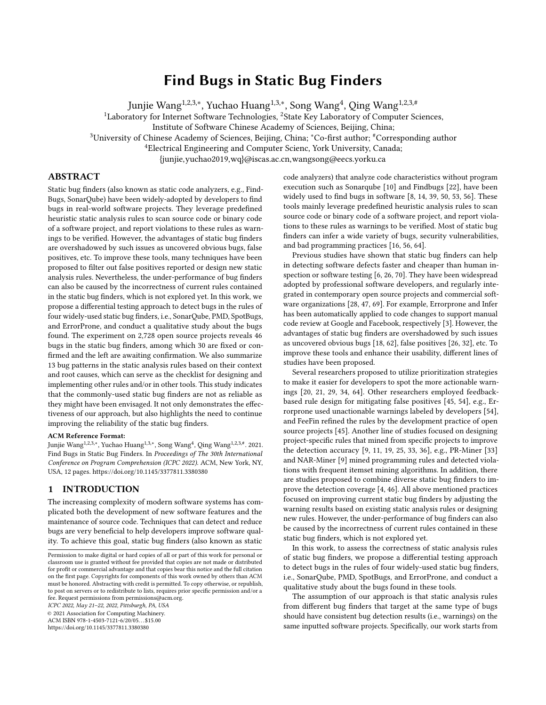#### Table 2: Results of rule mapping

<span id="page-6-2"></span><span id="page-6-1"></span>

| Tool                             | candidate<br>Total<br>pairs | Pairs after<br>applying rule a | Pairs after<br>applying rule <i>b</i> | Pairs after<br>applying rule C | Pairs after<br>applying rule d | <b>Final pairs</b> |
|----------------------------------|-----------------------------|--------------------------------|---------------------------------------|--------------------------------|--------------------------------|--------------------|
| Sonarqube & PMD                  | 165.680                     | 424                            | 367                                   | 252                            | 145                            |                    |
| <b>ErrorProne &amp; SpotBugs</b> | 149.517                     | 432                            | 387                                   | 264                            | -66                            | 30                 |

#### Table 3: Detected bugs on four static bug finders

| Tool              | <b>False negative</b>       | <b>False negative</b>   | <b>False Positive</b> | Overall |
|-------------------|-----------------------------|-------------------------|-----------------------|---------|
|                   | (about rule implementation) | (about rule definition) |                       |         |
| SonarOube         |                             |                         |                       | 10      |
| <b>PMD</b>        | 15                          |                         |                       | 25      |
| <b>SpotBugs</b>   |                             |                         |                       |         |
| <b>ErrorProne</b> |                             |                         |                       |         |
| Overall           | 29                          |                         |                       | 46      |

#### Table 4: False negative bugs (about rule implementation) in the examined static bug finders

<span id="page-6-0"></span>

| pattern<br><b>Bug</b>      | <b>Description</b>                                 | <b>Example</b>                                         | Involved rules (number of inconsistencies) / C indi-                           |
|----------------------------|----------------------------------------------------|--------------------------------------------------------|--------------------------------------------------------------------------------|
| involved<br>$($ #          |                                                    |                                                        | cates fixed/confirmed bug                                                      |
| rules)                     |                                                    |                                                        | PMD: SingularField (327)                                                       |
| $P1.$ Fail in              | Rules fail to warn the                             | Rule Object should not be created only to              | SonarQube: String function use should be optimized for                         |
| special                    | suspicious code involving                          | getClass fails with Array, while works with            | single characters $(8) / C$                                                    |
| data type (5)              | special data types                                 | ArrayList;                                             | SonarQube: Objects should not be created only to get-                          |
|                            |                                                    |                                                        | Class $(5) / C$                                                                |
|                            |                                                    |                                                        | PMD: RedundantFieldInitializer (3) / C                                         |
|                            |                                                    |                                                        | SpotBugs: ICAST BAD SHIFT AMOUNT (3)                                           |
| P <sub>2</sub> . Fail in   | Rules fail to warn the                             | Rule OBA QUESTIONABLE BOOLEAN                          | ErrorProne: ToStringReturnsNull (28) / C                                       |
| compound                   | suspicious code involving                          | ASSIGNMENT fails when compound                         | SpotBugs: QBA_QUESTIONABLE_BOOLEAN _ AS-<br>SIGNMENT $(26) / C$                |
| expression                 | compound expression                                | expression is involved, e.g.,                          | SpotBugs: SA_LOCAL_SELF_ASSIGNMENT (26) / C                                    |
| (5)                        |                                                    | if (scanning = $b = false$ );                          | SonarOube: Variables should not be self-assigned (5) / C                       |
|                            |                                                    |                                                        | SonarQube: Fields should not be initialized to default                         |
|                            |                                                    |                                                        | values $(3) / C$                                                               |
| $P3.$ Fail in              | Rules fail to warn the<br>suspicious involving the | Rule IntLongMath (Expression of type int may           | ErrorProne: IntLongMath (135) / C                                              |
| implicit                   |                                                    | overflow before assigning to a long) fails when        | SonarQube: Static fields should not be updated in con-<br>structors $(72) / C$ |
| operation                  | implicit operation of the                          | involving comparison operation (i.e.,                  | SpotBugs: DMI_INVOKING_TOSTRING_ON_ ARRAY                                      |
| (4)                        | defined suspicious operation                       | implicit assignment operation), e.g.,                  | (53) / C                                                                       |
|                            |                                                    | if (score $> = level \times level \times 1000$ );      | ErrorProne: ArrayEquals (11)                                                   |
| $P4$ . Fail in             | Rules fail to warn the                             | Rule AvoidPrintStackTrace fails when                   | PMD: UseCollectionIsEmpty (399) / C                                            |
| multiple                   | suspicious code involving                          | involving multiple calling operations, e.g.,           | PMD: AvoidPrintStackTrace (20) / C                                             |
| calling                    | multiple calling operations                        | json.exception().printStackTrace();                    | PMD: ClassCastExceptionWithToArray (5)<br>PMD: DontCallThreadRun (5) / C       |
| operations (4)             |                                                    |                                                        |                                                                                |
| $P5.$ Fail in              | Rules fail to warn the                             | Rule UseProperClassLoader fails when                   | PMD: UseProperClassLoader (68) / C                                             |
| separated                  | suspicious code involved in                        | involving separated expressions,                       | ErrorProne: ToStringReturnsNull (28) / C                                       |
| expressions                | separated expressions                              | e.g., Foo foo = $new Foo$ ;                            | PMD: InstantiationToGetClass (19)                                              |
| (3)                        |                                                    | ClassLoader classLoader = foo.getClassLoader();        |                                                                                |
|                            | Rules fail to warn the                             | Rule SimplifyConditional fails with                    | PMD: ReturnEmptyArrayRatherThanNull (770)                                      |
| P6. Fail in<br>unnecessary | suspicious code involving                          | if(rhs != $null & &$ (rhs instance of                  | PMD: SimplifyConditional (109)                                                 |
| brackets (3)               | unnecessary brackets which                         | CodeLocation)), yet works when deleting the            | SonarQube: Switch statements should not contain non-                           |
|                            | changes AST of the code                            | unnecessary brackets on 2rd condition;                 | case labels (39) / C                                                           |
|                            | Rules fail to warn the                             | Rule FinalFieldCouldBeStatic fails when                | PMD: FinalFieldCouldBeStatic (209)                                             |
| P7. Fail in                | suspicious code involving                          | assigning to an expression, e.g., private final double | PMD: AvoidDecimalLiteralsInBigDecimalConstructor                               |
| variables (2)              | variables, while works                             | $HPI = Math.PI * 0.5$ , yet works when assigning to    | (20) / C                                                                       |
|                            | with constant                                      | a constant, e.g., protected final int margin = 3;      |                                                                                |
|                            |                                                    |                                                        |                                                                                |
| Others (3)                 | Others                                             | N/A                                                    | PMD: AvoidThrowingNullPointerException (772)                                   |
|                            |                                                    |                                                        | PMD: SimplifyBooleanExpressions (623)                                          |
|                            |                                                    |                                                        | PMD: StringToString (215) / C                                                  |

by the inaccurate implementation of rules, while the bugs in this subsection are mainly because of the imperfectness in rule definition. For example, we find the definition of some rules miss specific data types. We separate them to remind the tool developers about the

flaw in the design of these static analysis rules. We then present the detailed analysis of an example pattern to facilitate understanding.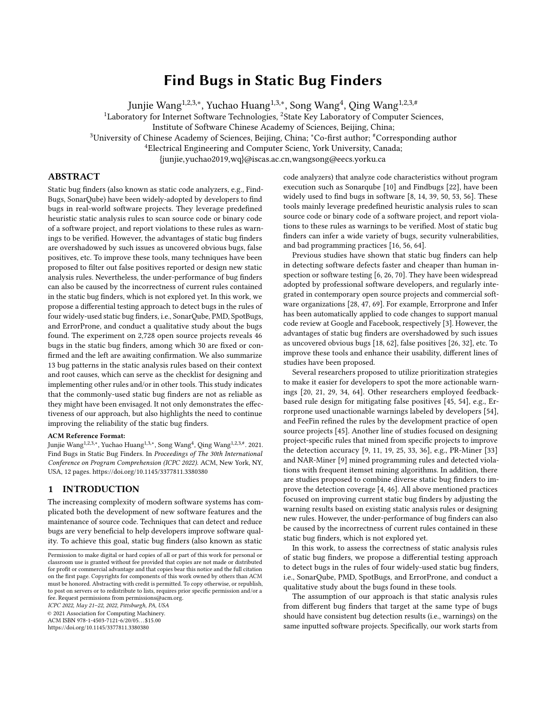<span id="page-7-0"></span>

| Bug<br>pattern<br>involved<br>(#<br>rules) | Description                                                         | Example                                                                                                                  | Involved rules (number of inconsistencies) / C indicates<br>fixed/confirmed bug                                                                                                                                                                         |
|--------------------------------------------|---------------------------------------------------------------------|--------------------------------------------------------------------------------------------------------------------------|---------------------------------------------------------------------------------------------------------------------------------------------------------------------------------------------------------------------------------------------------------|
| P8. Miss<br>comparable<br>method $(4)$     | Rules miss comparable<br>method of the defined<br>suspicious method | Rule UseLocaleWithCaseConversions fails with<br>String.format(), while works with<br>String.toLowerCase()/toUpperCase(); | PMD: UseLocaleWithCaseConversions (464)<br>ErrorProne: BoxedPrimitiveEquality (14) / C<br>SonarQube: Java.lang.Error should not be extended (7) / C<br>SonarQube: Execution of the Garbage Collector should be trig-<br>gered only by the JVM $(7) / C$ |
| $P9.$ Miss                                 | Rules miss the comparable                                           | Rule ICAST INTEGER MULTIPLY CAST                                                                                         | SonarQube: Redundant modifiers should not be used (1271) / C                                                                                                                                                                                            |
| comparable                                 | data type or operation                                              | TO LONG fails with shift operation,                                                                                      | PMD: AvoidArrayLoops (362) / C                                                                                                                                                                                                                          |
| data type or                               | of the defined suspicious ones                                      | while works with <i>multiply</i> operation;                                                                              | SpotBugs: ICAST INTEGER MULTIPLY CAST TO LONG (39)                                                                                                                                                                                                      |
| <b>operation</b> (3)                       | Rules miss the subclass or                                          | Rule AvoidCatchingThrowable fails in the                                                                                 | PMD: ReturnEmptyArrayRatherThanNull (677)                                                                                                                                                                                                               |
| subclass or                                | superclass of the defined                                           | subclass of Throwable, e.g., catch (Error e);                                                                            | PMD: AvoidCatchingThrowable (41)                                                                                                                                                                                                                        |
| superclass $(2)$                           | suspicious class                                                    |                                                                                                                          |                                                                                                                                                                                                                                                         |

} }

Table 5: False negative bugs (about rule definition) in the examined static bug finders.

P8) Miss comparable method. The rules in this pattern miss certain comparable method. Take the rule UseLocaleWithCaseConversions from PMD as an example. We present its rule description, as well as the description of its paired rule Locale should be used in String operations of SonarQube as follows.

- PMD (UseLocaleWithCaseConversions): When doing String:: toLowerCase()/toUpperCase() conversions, use an explicit locale argument to specify the case transformation rules.
- SonarQube (Locale should be used in String operations): Failure to specify a locale when calling the methods toLowerCase(), toUpperCase() or format() on String objects means the system default encoding will be used, possibly creating problems with international characters or number representations.

We can see that in the rule definition of PMD, only two string related methods are mentioned, while the third method format() is included in the rule definition of SonarQube. The results from the inconsistent detection by running these two static bug finders on experimental projects confirm that String.format() cannot be warned by PMD, which suggest the design of the rule UseLocaleWithCaseConversions from PMD is incomplete and could be buggy.

3.2.3 False Positive Bugs. For the 8 false positive bugs, three bug patterns (as shown in Table [6\)](#page-8-0) are summarized following the procedure described in Section [2.3.3.](#page-4-1) We then present the detailed analysis of an example pattern to facilitate understanding.

P11) Poor handling of method with same name. Bugs related with the rules in this pattern occur because they warn the correct method which shares the same method name (yet different method signatures) with the defined suspicious method. Take the rule Thread.notify() from PMD as an example. This rule states its usually safer to call notifyAll() rather than notify() because the later one awakens an arbitrary thread monitoring the object when more than one thread is monitoring. The following code examples first present the consistent case where both PMD and SonarQube can detect the suspicious code in example (a), followed by the inconsistent case where PMD wrongly highlights the normal code in example (b), i.e., bug in PMD. We can see that although the method name is notify, it is not Object.notify() as defined in the rule, since these two methods have different method signatures. PMD does not filter this special yet misleading case, which suggests a potential bug in the rule of PMD.

(Code example a.) Warning reported by both SonarQube and PMD.

// belaban−JGroups/JGroups−master/tests/other/org/jgroups/ tests /TestToaOrder. java public void memberFinished(Address addr) {

|  | $P$ control to the measure of the measure of the control $P$<br>synchronized (members) {<br>members.remove(addr);<br>$if$ (members.isEmpty()) {<br>members.notify(); //warn by PMD and SonarQube |
|--|--------------------------------------------------------------------------------------------------------------------------------------------------------------------------------------------------|
|  | (Code example b.) Warning reported by PMD only.                                                                                                                                                  |
|  | //mypsycho-SwingAppFramework/SwingAppFramework-master/src/main/java/<br>org/mypsycho/beans/Injection.java<br>private void injectSimple (Object bean, InjectionContext context) {                 |
|  | else if (toSet && !child definition .is Empty()) {<br>getInjector () . notify (getCanonicalName(), "'" + child . definition + "<br>has been converted as null", $null$ ; //warn only by PMD      |

# 3.3 Typical Faults in Static Bug Finders Causing Buggy Rules

Besides detecting the bugs in static analysis rules of the bug finders, we further examine the source code of these static bug finders and localize the faults for these buggy rules listed in Tables [4,](#page-6-0) [5](#page-7-0) and [6.](#page-8-0) Based on our analysis of the bug localization results, we summarize the following three types of typical faults.

1) Inflexible design of rule implementation

We notice that the implementation of 60% (15/25) detected buggy rules in PMD involves the XPath technology [\[2\]](#page-10-30), which searches for specific expression on the Abstract Syntax Tree (AST) of the analyzed program. This implementation is less flexible and very sensitive to noisy data.

Take the rule SimplifyConditional from PMD as an example, we have presented the analysis in Section [3.2.1.](#page-5-3)P6 where we show this rule fails when AST changes by adding the unnecessary brackets. When implementing this rule, as shown below, it would search the conditional statement (i.e., ConditionalAndExpression) and check whether it is the EqualityExpression (i.e., *rhs != null*) and InstanceOf-Expression (i.e., rhs instanceof CodeLocation) respectively. When the two expressions are no longer in parallel after adding the brackets, the rule would fail to work.

<![CDATA[ //Expression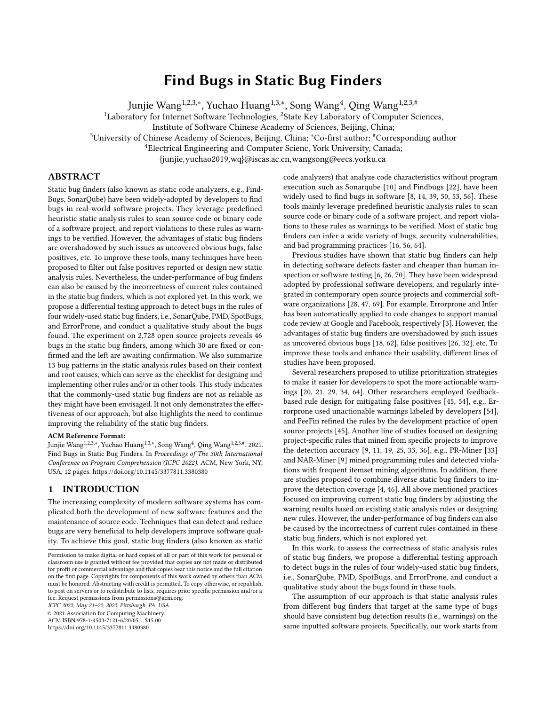<span id="page-8-0"></span>

| Bug pattern (#               | Description                       | Example                                                                     | Involved rules (number of inconsistencies) / C       |
|------------------------------|-----------------------------------|-----------------------------------------------------------------------------|------------------------------------------------------|
| involved rules)              |                                   |                                                                             | indicates fixed/confirmed bug                        |
| $P11$ . Poor                 |                                   | Rules wrongly warn the clean method UseNotifyAllInsteadOfNotify should warn | PMD: SuspiciousEqualsMethodName (24)                 |
| handling of                  | which has the same name yet       | $Object.notify(),$ but wrongly warns notify(para)                           | PMD: UseNotifyAllInsteadOfNotify (12) / C            |
| method with                  | different method signatures with  | method in other class.                                                      | SonarQube: Object.finalize() should remain protected |
| same name (3)                | the defined suspicious method     | e.g., getEventThread().notify(input);                                       | when overriding $(6) / C$                            |
|                              |                                   |                                                                             |                                                      |
| P <sub>12</sub> Setting      | Rules wrongly warn the clean      | AvoidThrowingNullPointerException wrongly warns the                         | PMD: AvoidThrowingNullPointerException (18) / C      |
| over-sized                   | code which is beyond the scope of | expression with NullPointerException yet without Throwing,                  | SpotBugs: SF_SWITCH_NO_DEFAULT (11)                  |
| scope $(3)$                  | the defined suspicious case       | e.g., Exception $e = new NullPointerException("msg")$ ;                     | PMD: AvoidCallingFinalize (6) / C                    |
|                              |                                   |                                                                             |                                                      |
| P <sub>13</sub> . Neglecting | Rules wrongly warn the clean      | MissingBreakInSwitch wrongly warns the                                      | PMD: MissingBreakInSwitch (841) / C                  |
| corner                       | code which is the corner case     | switch expression without break in the                                      | PMD: AvoidReassigningLoopVariables (188) / C         |
| case (2)                     | of the defined suspicious case    | last case statement:                                                        |                                                      |

#### Table 6: False positive bugs in the examined static bug finders

[ConditionalOrExpression ....

or ConditionalAndExpression [ EqualityExpression [@Image='!=']// NullLiteral and

```
InstanceOfExpression [PrimaryExpression[count(PrimarySuffix [
```

```
@ArrayDereference='true ']) =0]//Name[not(contains(@Image ,'.') ) ]/
@Image = ancestor::
```
ConditionalAndExpression/EqualityExpression /PrimaryExpression/

```
PrimaryPrefix /Name/@Image] and (count(InstanceOfExpression) + 1 =
count(*))
```
]] ]]>

#### 2) Uncovering potential influenced statements

The four static bug finders employ similar strategies to implement the rules. In detail, given a specific rule, these bug finders first categorize all the statements in the code under analysis according to their functionalities, e.g, variable definition, variable assignment, conditional judgment, etc. Then they further visit the pre-defined potential problematic statements, and analyze them to determine whether there is a match, i.e., a warning is given.

Take the rule IntLongMath from ErrorProne (mentioned in Section [3.2.1.](#page-5-3)P3 as an example, the rule first locates the problematic statements, i.e., return, initialization, assignment (i.e., matchAssignment() as shown in the code below). It then determines whether the result is Long type, and filter out the operations which can not result in overflow. However, when locating the problematic statements, it does not consider the compare statement which can also trigger the bug.

#### @Override public Description matchAssignment(AssignmentTree tree, VisitorState state ) { return check(ASTHelpers.getType(tree) , tree . getExpression () ) ; } Description check(Type targetType , ExpressionTree init ) { if ( targetType . getKind() != TypeKind.LONG) { return NO MATCH; } ... }

#### 3) Missing considering special cases

Many faults are caused because of their neglecting in special cases. For the rule Objects should not be created only to getClass of SonarQube, it fails in the Array type as mentioned in Section [3.2.1.](#page-5-3)P1. The implementation code shown below demonstrates that this rule is designed for java.lang.Object, which does not include Array. More special cases should be included to ensure the robustness of these rules.

return Collections . singletonList (MethodMatcher.create() . typeDefinition ( TypeCriteria . subtypeOf("java . lang . Object") ) . name("getClass") . withoutParameter()) ;

#### 3.4 Usefulness Evaluation

To further demonstrate the usefulness of this study, for each detected bug, we create a bug report by describing the issue, the example code, and the analyzed reason, then report it to the development team through an issue report. Among the 46 detected bugs, 30 have been fixed or confirmed by the developers, and the left are awaiting confirmation. The fixed/confirmed bugs are marked in Table [4](#page-6-0) to Table [6,](#page-8-0) and all the reported issues and detailed status are listed on our website<sup>[9](#page-8-1)</sup>.

We further examine the fixed/confirmed bugs, and results show that 19 are fixed, 7 are marked as "wontfix", while 4 are awaiting fix. We summarize the reasons for the 7 "wontfix" bugs as follows: 1 of them is because of the related detection rules having been deprecated, 2 are because of the developers intentionally implementing the rule to ignore such cases, while the remaining 4 are because of the reported false positives/false negatives can be avoided by configuring the static bug finders. Since this paper only applied the default configuration of these static bug finders, when more configurations are included, the 4 "wontfix" bugs can be potentially avoided. For the 4 bugs awaiting fix, the reasons are mainly due to the smaller influence scope or the lower priority.

The fixed and confirmed bugs further demonstrate the usefulness of this study in helping the developers improving these widely-used bug finders.

#### 4 DISCUSSIONS AND THREATS TO VALIDITY

#### 4.1 Discussions

Checklist for static analysis rule design and implementation. Table [4,](#page-6-0) [5,](#page-7-0) and [6](#page-8-0) summarizes the bug patterns in the implementation and design of static analysis rules. We also notice that most of these bug patterns involve rules target at different types of warnings and from different bug finders, which implies the generalizability of these bug patterns.

The bug patterns are actually the special cases which is ignored by the static analysis rules and cause them fail to warn the corresponding suspicious code or wrongly warn the clean code. We

protected List <MethodMatcher> getMethodInvocationMatchers(){

<span id="page-8-1"></span><sup>9</sup>https://github.com/wuchiuwong/Diff-Testing-01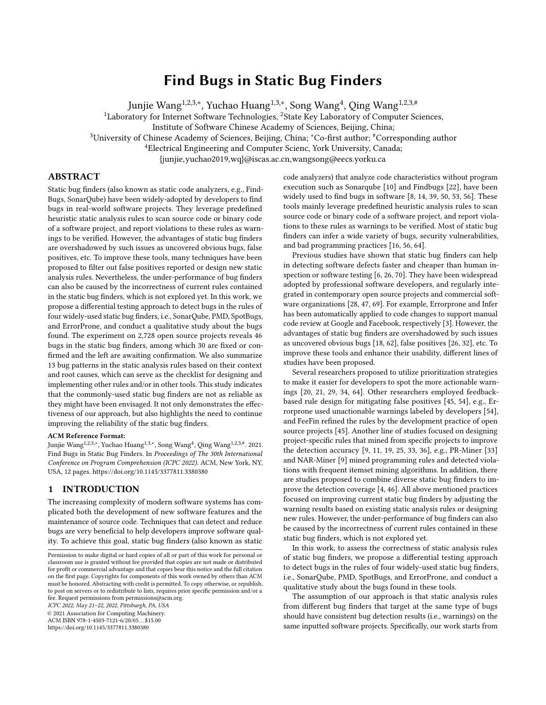believe these bug patterns can serve as the checklist when one designs or implements new rules and/or in other static bug finders. Take bug pattern P2. Fail in compound expression as an example, we find some static analysis rules fail to warn the suspicious code involving compound expression. Equipped with such a bug pattern, one should pay careful attention to this special case when designing/implementing a new rule, and include related test cases to cover this special case, both of which can help improve the quality of newly implemented static analysis rules.

Customizing static bug finders to avoid execution of duplicate rules (i.e., paired rules). Many software organizations tend to configure multiple bug finders for detecting bugs with an assumption that different bug finders emphasize on detecting different types of bugs in the source code [\[37,](#page-10-31) [53\]](#page-11-2). For example, Github projects as Springfox<sup>[10](#page-9-0)</sup> and Roboguice<sup>[11](#page-9-1)</sup> employ both SpotBugs and PMD for code inspection [\[69\]](#page-11-7). Another example is SonarQube which incorporates static analysis rules from other bug finders, i.e., SpotBugs, PMD, cobertura, and CheckStyle (note that, we exclude these external rules in our experiment).

Our rule mapping results reveal a non-negligible portion of duplicate rules among the examined static bug finders, e.g., at least 24% (74/304) rules from PMD are the duplicates of the rules in SonarQube. However, most of the bug finders are used in default configuration [\[62\]](#page-11-8), which results in the duplicate rules repeatedly running and brings in heavy overhead. A more feasible alternative would be customizing these bug finders to make the duplicate rules only execute once, and the mapped rule pairs retrieved in this study further provide the feasibility for the customization. The differential testing results of this study also provide the detailed guidelines to do so, e.g., choose the correct rule if one of them is buggy.

#### 4.2 Threats to Validity

The first threat of this study is the selection of static bug finders, which may or may not be representative for a larger population. We experiment with four popular open source static bug finders, which are widely used in previous researches and industrial practice [\[5,](#page-10-32) [8,](#page-10-2) [64,](#page-11-4) [69\]](#page-11-7), which we believe to be representative for the current state-of-the-art. Despite of this, there are other commonly-used static bug finders, e.g., Infer, CheckStyle, Coverity. The reason why do not utilize Infer or CheckStype is because they either have few static analysis rules (e.g., 25 rules in Infer) or focus more on the coding standards (i.e., CheckStyle), both of which limit us in finding plenty of mapping rules and detecting more inconsistencies. Besides, Coverity is a closed sourced bug finder with which we could not conduct the bug localization.

Another threat to validity is our methodology for mapping static analysis rules which could, in principle, miss some paired rules. To overcome the challenges that tens of thousands of candidate pairs needed to be examined, we design a heuristic-based rule mapping method. This could miss some true paired rules, yet make this mapping task can be done with reasonable human effort. We employ several empirical parameters in filtering the candidate rule pairs which might also influence the recall of paired rules. Nevertheless, based on the retrieved mapping rules, we have detected 46 bugs

in the tools. Besides, we present the hitting rate and recall of rule mapping in Section [3.1](#page-4-4) to show the reliability of the method.

## 5 RELATED WORK

The use of static bug finders for software defect detection is a common practice for developers during software development and has been studied by many researchers [\[14,](#page-10-3) [16,](#page-10-5) [26,](#page-10-7) [44,](#page-10-33) [50,](#page-11-1) [52,](#page-11-16) [71\]](#page-11-17). There were studies investigating the adoption of static bug finders within continuous integration pipelines [\[47,](#page-11-6) [61,](#page-11-18) [69\]](#page-11-7). Other studies focused on how these warnings are actually acted, and fixed [\[24,](#page-10-34) [38,](#page-10-35) [59\]](#page-11-19). Several researchers proposed to utilize prioritization strategies to make it easier for the developers to spot the more actionable warnings [\[20,](#page-10-12) [21,](#page-10-13) [29,](#page-10-14) [34,](#page-10-15) [64\]](#page-11-4). There were several researches employing feedback-based rule design for mitigating false positives [\[45,](#page-10-16) [54\]](#page-11-9). Another line of researches focused on designing project-specific rules that mined from specific projects to improve the detection accuracy [\[9,](#page-10-17) [11,](#page-10-18) [19,](#page-10-19) [25,](#page-10-20) [33,](#page-10-21) [36\]](#page-10-22). In addition, there are studies proposed to combine diverse static bug finders to detect defects and vulnerabilities, so as to improve the detection coverage [\[4,](#page-10-23) [46\]](#page-11-10). All above mentioned researches focused on improving current static bug finders by adjusting the warning results or designing new rules, while this study investigate the correctness of bug finders which can improve the detection accuracy fundamentally.

Differential testing is originally introduced by McKeeman which attempts to detect bugs by checking inconsistent behaviors across different comparable software or different software versions [\[42\]](#page-10-36). Randomized differential testing is a widely-used black-box differential testing technique in which the inputs are randomly generated [\[12,](#page-10-37) [17,](#page-10-38) [31,](#page-10-39) [35,](#page-10-40) [48,](#page-11-20) [49,](#page-11-21) [57,](#page-11-22) [58,](#page-11-23) [60,](#page-11-24) [66,](#page-11-25) [68\]](#page-11-26). Inconsistency detection has been used in other domains such as cross-platform [\[15\]](#page-10-41), web browsers [\[13\]](#page-10-42), document readers [\[30\]](#page-10-43), and program variables [\[27\]](#page-10-44). Different from the above mentioned application scenarios, we apply differential testing to detect bugs in widely-used static bug finders which can improve the performance of bug detection.

# 6 CONCLUSION

Static bug finders are widely used by professional software developers, and regularly integrated in contemporary open source projects and commercial software organizations. They have been shown to be helpful in detecting software defects faster and cheaper than human inspection or software testing. To further improve the reliability of static bug finders, this paper proposes a differential testing approach to detect bugs in the static analysis rules of four widely-used static bug finders. Our study finds 46 bugs about the implementation or design of static analysis rules, among which 30 are fixed/confirmed and the left are awaiting confirmation. We also summarize 13 bug patterns in the static analysis rules based on their context and root causes, which can serve as the checklist for designing and implementing other rules.

### ACKNOWLEDGMENTS

This work is supported by the National Key Research and Development Program of China under grant No.2018YFB1403400, the National Natural Science Foundation of China under grant No.62072442 and 62002348, the Youth Innovation Promotion Association Chinese Academy of Sciences.

<span id="page-9-0"></span> $\rm ^{10}$  https://github.com/springfox/springfox

<span id="page-9-1"></span><sup>11</sup>https://github.com/roboguice/roboguice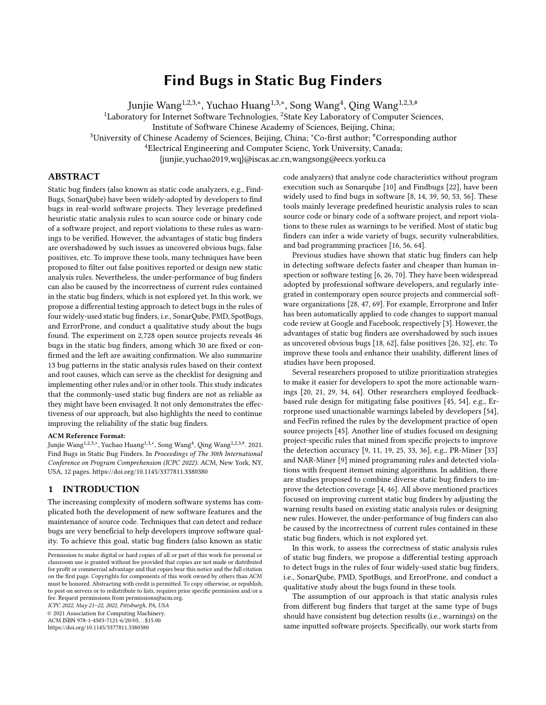## **REFERENCES**

- <span id="page-10-28"></span>[1] 2020. [https://en.wikipedia.org/wiki/camelcase.](https://en.wikipedia.org/wiki/camelcase)
- <span id="page-10-30"></span><span id="page-10-9"></span>[2] 2020. [http://www.ing.iac.es/~docs/external/java/pmd/xpathruletutorial.html.](http://www.ing.iac.es/~docs/external/java/pmd/xpathruletutorial.html) [3] Edward Aftandilian, Raluca Sauciuc, Siddharth Priya, and Sundaresan Krishnan. 2012. Building Useful Program Analysis Tools Using an Extensible Java Compiler. In 12th IEEE International Working Conference on Source Code Analysis and Manipulation, SCAM 2012, Riva del Garda, Italy, September 23-24, 2012. 14–23.
- <span id="page-10-23"></span>[4] Areej Algaith, Paulo Jorge Costa Nunes, José Fonseca, Ilir Gashi, and Marco Vieira. 2018. Finding SQL Injection and Cross Site Scripting Vulnerabilities with Diverse Static Analysis Tools. In 14th European Dependable Computing Conference, EDCC 2018, Iaşi, Romania, September 10-14, 2018. IEEE Computer Society, 57–64.
- <span id="page-10-32"></span>[5] Nathaniel Ayewah, David Hovemeyer, J. David Morgenthaler, John Penix, and William Pugh. 2008. Using Static Analysis to Find Bugs. IEEE Software 25, 5 (2008), 22–29.
- <span id="page-10-6"></span>[6] Moritz Beller, Georgios Gousios, Annibale Panichella, Sebastian Proksch, Sven Amann, and Andy Zaidman. 2019. Developer Testing in the IDE: Patterns, Beliefs, and Behavior. IEEE Trans. Software Eng. 45, 3 (2019), 261–284. [https://doi.org/10.](https://doi.org/10.1109/TSE.2017.2776152) [1109/TSE.2017.2776152](https://doi.org/10.1109/TSE.2017.2776152)
- <span id="page-10-26"></span>[7] Yoshua Bengio, Réjean Ducharme, Pascal Vincent, and Christian Janvin. 2003. A Neural Probabilistic Language Model. The Journal of Machine Learning Research 3 (2003), 1137–1155.
- <span id="page-10-2"></span>[8] Al Bessey, Ken Block, Benjamin Chelf, Andy Chou, Bryan Fulton, Seth Hallem, Charles-Henri Gros, Asya Kamsky, Scott McPeak, and Dawson R. Engler. 2010. A few billion lines of code later: using static analysis to find bugs in the real world. 53, 2 (2010), 66–75.
- <span id="page-10-17"></span>[9] Pan Bian, Bin Liang, Wenchang Shi, Jianjun Huang, and Yan Cai. 2018. NARminer: discovering negative association rules from code for bug detection. In Proceedings of the 2018 ACM Joint Meeting on European Software Engineering Conference and Symposium on the Foundations of Software Engineering, ESEC/SIGSOFT FSE 2018, Lake Buena Vista, FL, USA, November 04-09, 2018. ACM, 411–422.
- <span id="page-10-0"></span>[10] G Campbell and Patroklos P Papapetrou. 2013. SonarQube in action. Manning Publications Co.
- <span id="page-10-18"></span>[11] Boyuan Chen and Zhen Ming (Jack) Jiang. 2017. Characterizing and detecting antipatterns in the logging code. In Proceedings of the 39th International Conference on Software Engineering, ICSE 2017, Buenos Aires, Argentina, May 20-28, 2017. 71–81.
- <span id="page-10-37"></span>[12] Yuting Chen, Ting Su, and Zhendong Su. 2019. Deep differential testing of JVM implementations. In Proceedings of the 41st International Conference on Software Engineering, ICSE 2019, Montreal, QC, Canada, May 25-31, 2019. 1257–1268.
- <span id="page-10-42"></span>[13] Shauvik Roy Choudhary. 2011. Detecting cross-browser issues in web applications. In Proceedings of the 33rd International Conference on Software Engineering, ICSE 2011, Waikiki, Honolulu , HI, USA, May 21-28, 2011. 1146–1148.
- <span id="page-10-3"></span>[14] Lisa Nguyen Quang Do, James Wright, and Karim Ali. 2020. Why do software developers use static analysis tools? a user-centered study of developer needs and motivations. IEEE Transactions on Software Engineering (2020).
- <span id="page-10-41"></span>[15] Mattia Fazzini and Alessandro Orso. 2017. Automated cross-platform inconsistency detection for mobile apps. In Proceedings of the 32nd IEEE/ACM International Conference on Automated Software Engineering, ASE 2017, Urbana, IL, USA, October 30 - November 03, 2017. 308–318.
- <span id="page-10-5"></span>[16] Cormac Flanagan, K. Rustan M. Leino, Mark Lillibridge, Greg Nelson, James B. Saxe, and Raymie Stata. 2002. Extended Static Checking for Java. In Proceedings of the 2002 ACM SIGPLAN Conference on Programming Language Design and Implementation (PLDI), Berlin, Germany, June 17-19, 2002. 234–245.
- <span id="page-10-38"></span>[17] Jianmin Guo, Yu Jiang, Yue Zhao, Quan Chen, and Jiaguang Sun. 2018. DLFuzz: differential fuzzing testing of deep learning systems. In Proceedings of the 2018 ACM Joint Meeting on European Software Engineering Conference and Symposium on the Foundations of Software Engineering, ESEC/SIGSOFT FSE 2018, Lake Buena Vista, FL, USA, November 04-09, 2018. 739–743.
- <span id="page-10-10"></span>[18] Andrew Habib and Michael Pradel. 2018. How many of all bugs do we find? a study of static bug detectors. In Proceedings of the 33rd ACM/IEEE International Conference on Automated Software Engineering, ASE 2018, Montpellier, France, September 3-7, 2018, Marianne Huchard, Christian Kästner, and Gordon Fraser (Eds.). 317–328.
- <span id="page-10-19"></span>[19] Quinn Hanam, Fernando Santos De Mattos Brito, and Ali Mesbah. 2016. Discovering bug patterns in JavaScript. In Proceedings of the 24th ACM SIGSOFT International Symposium on Foundations of Software Engineering, FSE 2016, Seattle, WA, USA, November 13-18, 2016. 144–156.
- <span id="page-10-12"></span>[20] Sarah Heckman and Laurie Williams. 2008. On Establishing a Benchmark for Evaluating Static Analysis Alert Prioritization and Classification Techniques. In ESEM 2008. 41–50.
- <span id="page-10-13"></span>[21] Sarah Heckman and Laurie Williams. 2011. A systematic literature review of actionable alert identification techniques for automated static code analysis. Information and Software Technology 53, 4 (2011), 363 – 387.
- <span id="page-10-1"></span>[22] David Hovemeyer and William Pugh. 2004. Finding bugs is easy. Acm sigplan notices 39, 12 (2004), 92–106.
- <span id="page-10-24"></span>[23] David Hovemeyer and William Pugh. 2007. Finding more null pointer bugs, but not too many. In Proceedings of the 7th ACM SIGPLAN-SIGSOFT Workshop on Program Analysis for Software Tools and Engineering, PASTE'07, San Diego,

California, USA, June 13-14, 2007, Manuvir Das and Dan Grossman (Eds.). ACM,  $9 - 14$ 

- <span id="page-10-34"></span>[24] N. Imtiaz, B. Murphy, and L. Williams. 2019. How Do Developers Act on Static Analysis Alerts? An Empirical Study of Coverity Usage. In 2019 IEEE 30th International Symposium on Software Reliability Engineering (ISSRE). 323–333.
- <span id="page-10-20"></span>[25] Guoliang Jin, Linhai Song, Xiaoming Shi, Joel Scherpelz, and Shan Lu. 2012. Understanding and detecting real-world performance bugs. In ACM SIGPLAN Conference on Programming Language Design and Implementation, PLDI '12, Beijing, China - June 11 - 16, 2012. 77–88.
- <span id="page-10-7"></span>[26] Brittany Johnson, Yoonki Song, Emerson R. Murphy-Hill, and Robert W. Bowdidge. 2013. Why don't software developers use static analysis tools to find bugs?. In 35th International Conference on Software Engineering, ICSE '13, San Francisco, CA, USA, May 18-26, 2013. 672–681.
- <span id="page-10-44"></span>[27] Sayali Kate, John-Paul Ore, Xiangyu Zhang, Sebastian Elbaum, and Zhaogui Xu. 2018. Phys: Probabilistic Physical Unit Assignment and Inconsistency Detection. In Proceedings of the 2018 26th ACM Joint Meeting on European Software Engineering Conference and Symposium on the Foundations of Software Engineering (ESEC/FSE 2018). 563–573.
- <span id="page-10-8"></span>[28] M. Kern, F. Erata, M. Iser, C. Sinz, F. Loiret, S. Otten, and E. Sax. 2019. Integrating Static Code Analysis Toolchains. In 2019 IEEE 43rd Annual Computer Software and Applications Conference (COMPSAC), Vol. 1. 523–528.
- <span id="page-10-14"></span>Sunghun Kim and Michael D. Ernst. 2007. Which Warnings Should I Fix First?. In FSE 2007. 45–54.
- <span id="page-10-43"></span>[30] Tomasz Kuchta, Thibaud Lutellier, Edmund Wong, Lin Tan, and Cristian Cadar. 2018. On the correctness of electronic documents: studying, finding, and localizing inconsistency bugs in PDF readers and files. Empirical Software Engineering 23, 6 (2018), 3187–3220.
- <span id="page-10-39"></span>[31] Vu Le, Mehrdad Afshari, and Zhendong Su. 2014. Compiler validation via equivalence modulo inputs. In ACM SIGPLAN Conference on Programming Language Design and Implementation, PLDI '14, Edinburgh, United Kingdom - June 09 - 11, 2014. 216–226.
- <span id="page-10-11"></span>[32] Valentina Lenarduzzi, Francesco Lomio, Heikki Huttunen, and Davide Taibi. 2020. Are SonarQube Rules Inducing Bugs?. In SANER'20. 501–511.
- <span id="page-10-21"></span>[33] Zhenmin Li and Yuanyuan Zhou. 2005. PR-Miner: automatically extracting implicit programming rules and detecting violations in large software code. In Proceedings of the 10th European Software Engineering Conference held jointly with 13th ACM SIGSOFT International Symposium on Foundations of Software Engineering, 2005, Lisbon, Portugal, September 5-9, 2005. 306–315.
- <span id="page-10-15"></span>[34] Guangtai Liang, Ling Wu, Qian Wu, Qianxiang Wang, Tao Xie, and Hong Mei. 2010. Automatic Construction of an Effective Training Set for Prioritizing Static Analysis Warnings. In ASE 2010. 93–102.
- <span id="page-10-40"></span>[35] Christopher Lidbury, Andrei Lascu, Nathan Chong, and Alastair F. Donaldson. 2015. Many-core compiler fuzzing. In Proceedings of the 36th ACM SIGPLAN Conference on Programming Language Design and Implementation, Portland, OR, USA, June 15-17, 2015. 65–76.
- <span id="page-10-22"></span>[36] V. Benjamin Livshits and Thomas Zimmermann. 2005. DynaMine: finding common error patterns by mining software revision histories. In Proceedings of the 10th European Software Engineering Conference held jointly with 13th ACM SIG-SOFT International Symposium on Foundations of Software Engineering, 2005, Lisbon, Portugal, September 5-9, 2005. 296–305.
- <span id="page-10-31"></span>[37] Bailin Lu, Wei Dong, Liangze Yin, and Li Zhang. 2018. Evaluating and Integrating Diverse Bug Finders for Effective Program Analysis. In Software Analysis, Testing, and Evolution - 8th International Conference, SATE 2018, Shenzhen, Guangdong, China, November 23-24, 2018, Proceedings, Lei Bu and Yingfei Xiong (Eds.), Vol. 11293. 51–67.
- <span id="page-10-35"></span>[38] D. Marcilio, R. Bonifácio, E. Monteiro, E. Canedo, W. Luz, and G. Pinto. 2019. Are Static Analysis Violations Really Fixed? A Closer Look at Realistic Usage of Sonar-Qube. In 2019 IEEE/ACM 27th International Conference on Program Comprehension (ICPC). 209–219.
- <span id="page-10-4"></span>[39] Diego Marcilio, Carlo A Furia, Rodrigo Bonifacio, and Gustavo Pinto. 2020. SpongeBugs: Automatically generating fix suggestions in response to static code analysis warnings. Journal of Systems and Software 168 (2020), 110671.
- <span id="page-10-25"></span>[40] Pedro Martins, Rohan Achar, and Cristina V. Lopes. 2018. 50K-C: a dataset of compilable, and compiled, Java projects. In Proceedings of the 15th International Conference on Mining Software Repositories, MSR 2018, Gothenburg, Sweden, May 28-29, 2018. 1–5.<https://doi.org/10.1145/3196398.3196450>
- <span id="page-10-29"></span>[41] Mary L McHugh. 2012. Interrater reliability: the kappa statistic. Biochemia medica: Biochemia medica 22, 3 (2012), 276–282.
- <span id="page-10-36"></span>[42] William M. McKeeman. 1998. Differential Testing for Software. Digital Technical Journal 10, 1 (1998), 100–107.
- <span id="page-10-27"></span>[43] T. Mikolov, I. Sutskever, K. Chen, G. Corrado, and J. Dean. 2013. Distributed Representations of Words and Phrases and Their Compositionality. In NIPS'13. 3111–3119.
- <span id="page-10-33"></span>[44] Nachiappan Nagappan and Thomas Ball. 2005. Static analysis tools as early indicators of pre-release defect density. In 27th International Conference on Software Engineering (ICSE 2005), 15-21 May 2005, St. Louis, Missouri, USA. 580–586.
- <span id="page-10-16"></span>[45] Jaechang Nam, Song Wang, Yuan Xi, and Lin Tan. 2019. A bug finder refined by a large set of open-source projects. Inf. Softw. Technol. 112 (2019), 164–175.